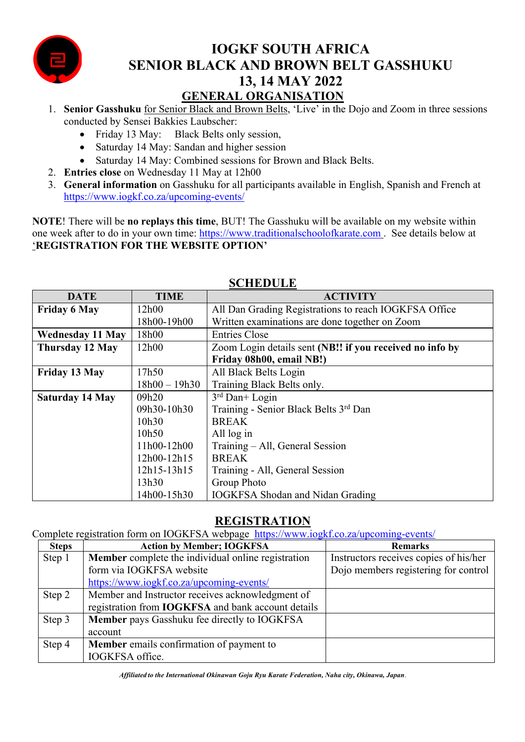

# **IOGKF SOUTH AFRICA SENIOR BLACK AND BROWN BELT GASSHUKU 13, 14 MAY 2022 GENERAL ORGANISATION**

- 1. **Senior Gasshuku** for Senior Black and Brown Belts, 'Live' in the Dojo and Zoom in three sessions conducted by Sensei Bakkies Laubscher:
	- Friday 13 May: Black Belts only session,
	- Saturday 14 May: Sandan and higher session
	- Saturday 14 May: Combined sessions for Brown and Black Belts.
- 2. **Entries close** on Wednesday 11 May at 12h00
- 3. **General information** on Gasshuku for all participants available in English, Spanish and French at https://www.iogkf.co.za/upcoming-events/

**NOTE**! There will be **no replays this time**, BUT! The Gasshuku will be available on my website within one week after to do in your own time: https://www.traditionalschoolofkarate.com . See details below at '**REGISTRATION FOR THE WEBSITE OPTION'**

| <b>SCHLDULL</b>         |                   |                                                          |  |  |  |
|-------------------------|-------------------|----------------------------------------------------------|--|--|--|
| <b>DATE</b>             | <b>TIME</b>       | <b>ACTIVITY</b>                                          |  |  |  |
| <b>Friday 6 May</b>     | 12h00             | All Dan Grading Registrations to reach IOGKFSA Office    |  |  |  |
|                         | 18h00-19h00       | Written examinations are done together on Zoom           |  |  |  |
| <b>Wednesday 11 May</b> | 18h00             | <b>Entries Close</b>                                     |  |  |  |
| Thursday 12 May         | 12h00             | Zoom Login details sent (NB!! if you received no info by |  |  |  |
|                         |                   | Friday 08h00, email NB!)                                 |  |  |  |
| Friday 13 May           | 17h50             | All Black Belts Login                                    |  |  |  |
|                         | $18h00 - 19h30$   | Training Black Belts only.                               |  |  |  |
| <b>Saturday 14 May</b>  | 09h20             | $3rd$ Dan+ Login                                         |  |  |  |
|                         | 09h30-10h30       | Training - Senior Black Belts 3rd Dan                    |  |  |  |
|                         | 10h <sub>30</sub> | <b>BREAK</b>                                             |  |  |  |
|                         | 10h50             | All log in                                               |  |  |  |
|                         | 11h00-12h00       | Training – All, General Session                          |  |  |  |
|                         | 12h00-12h15       | <b>BREAK</b>                                             |  |  |  |
|                         | 12h15-13h15       | Training - All, General Session                          |  |  |  |
|                         | 13h30             | Group Photo                                              |  |  |  |
|                         | 14h00-15h30       | <b>IOGKFSA Shodan and Nidan Grading</b>                  |  |  |  |

## **SCHEDULE**

## **REGISTRATION**

Complete registration form on IOGKFSA webpage https://www.iogkf.co.za/upcoming-events/

| <b>Steps</b> | <b>Action by Member; IOGKFSA</b>                          | <b>Remarks</b>                         |
|--------------|-----------------------------------------------------------|----------------------------------------|
| Step 1       | Member complete the individual online registration        | Instructors receives copies of his/her |
|              | form via IOGKFSA website                                  | Dojo members registering for control   |
|              | https://www.iogkf.co.za/upcoming-events/                  |                                        |
| Step 2       | Member and Instructor receives acknowledgment of          |                                        |
|              | registration from <b>IOGKFSA</b> and bank account details |                                        |
| Step 3       | Member pays Gasshuku fee directly to IOGKFSA              |                                        |
|              | account                                                   |                                        |
| Step 4       | Member emails confirmation of payment to                  |                                        |
|              | IOGKFSA office.                                           |                                        |

*Affiliated to the International Okinawan Goju Ryu Karate Federation, Naha city, Okinawa, Japan*.